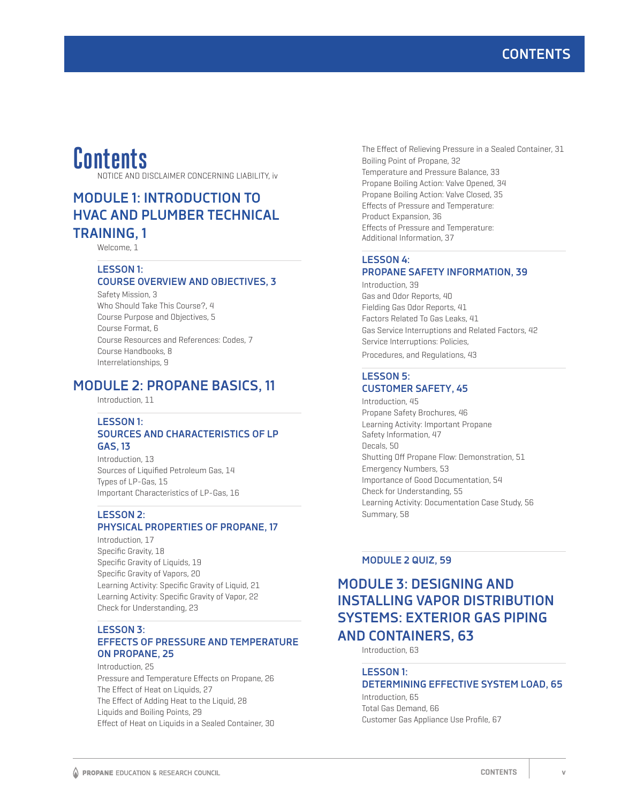# **Contents**

NOTICE AND DISCLAIMER CONCERNING LIABILITY, iv

# **MODULE 1: INTRODUCTION TO HVAC AND PLUMBER TECHNICAL TRAINING, 1**

Welcome, 1

### **LESSON 1: COURSE OVERVIEW AND OBJECTIVES, 3**

Safety Mission, 3 Who Should Take This Course?, 4 Course Purpose and Objectives, 5 Course Format, 6 Course Resources and References: Codes, 7 Course Handbooks, 8 Interrelationships, 9

# **MODULE 2: PROPANE BASICS, 11**

Introduction, 11

### **LESSON 1: SOURCES AND CHARACTERISTICS OF LP GAS, 13**

Introduction, 13 Sources of Liquified Petroleum Gas, 14 Types of LP-Gas, 15 Important Characteristics of LP-Gas, 16

### **LESSON 2:**

# **PHYSICAL PROPERTIES OF PROPANE, 17**

Introduction, 17 Specific Gravity, 18 Specific Gravity of Liquids, 19 Specific Gravity of Vapors, 20 Learning Activity: Specific Gravity of Liquid, 21 Learning Activity: Specific Gravity of Vapor, 22 Check for Understanding, 23

### **LESSON 3: EFFECTS OF PRESSURE AND TEMPERATURE ON PROPANE, 25**

Introduction, 25 Pressure and Temperature Effects on Propane, 26 The Effect of Heat on Liquids, 27 The Effect of Adding Heat to the Liquid, 28 Liquids and Boiling Points, 29 Effect of Heat on Liquids in a Sealed Container, 30 The Effect of Relieving Pressure in a Sealed Container, 31 Boiling Point of Propane, 32 Temperature and Pressure Balance, 33 Propane Boiling Action: Valve Opened, 34 Propane Boiling Action: Valve Closed, 35 Effects of Pressure and Temperature: Product Expansion, 36 Effects of Pressure and Temperature: Additional Information, 37

### **LESSON 4: PROPANE SAFETY INFORMATION, 39**

Introduction, 39 Gas and Odor Reports, 40 Fielding Gas Odor Reports, 41 Factors Related To Gas Leaks, 41 Gas Service Interruptions and Related Factors, 42 Service Interruptions: Policies, Procedures, and Regulations, 43

### **LESSON 5: CUSTOMER SAFETY, 45**

Introduction, 45 Propane Safety Brochures, 46 Learning Activity: Important Propane Safety Information, 47 Decals, 50 Shutting Off Propane Flow: Demonstration, 51 Emergency Numbers, 53 Importance of Good Documentation, 54 Check for Understanding, 55 Learning Activity: Documentation Case Study, 56 Summary, 58

### **MODULE 2 QUIZ, 59**

# **MODULE 3: DESIGNING AND INSTALLING VAPOR DISTRIBUTION SYSTEMS: EXTERIOR GAS PIPING AND CONTAINERS, 63**

Introduction, 63

#### **LESSON 1:**

### **DETERMINING EFFECTIVE SYSTEM LOAD, 65** Introduction, 65

Total Gas Demand, 66 Customer Gas Appliance Use Profile, 67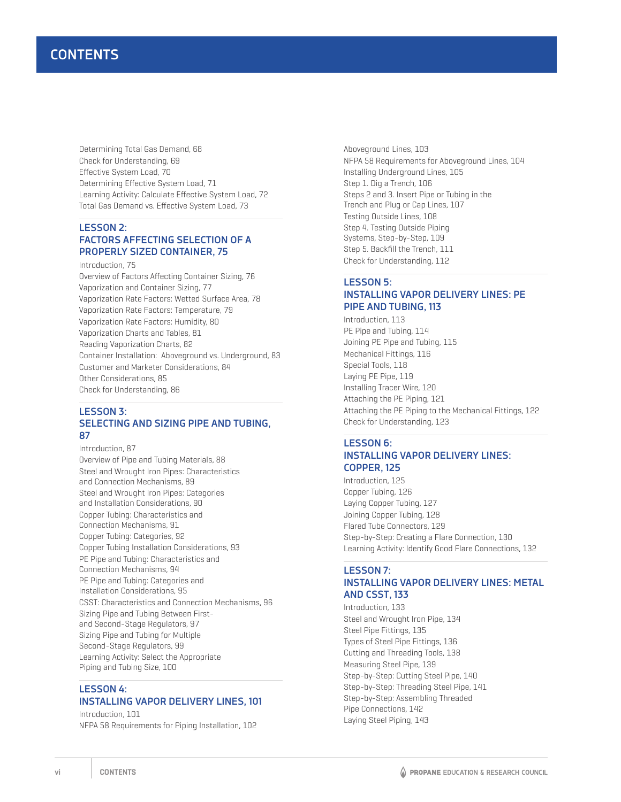Determining Total Gas Demand, 68 Check for Understanding, 69 Effective System Load, 70 Determining Effective System Load, 71 Learning Activity: Calculate Effective System Load, 72 Total Gas Demand vs. Effective System Load, 73

### **LESSON 2: FACTORS AFFECTING SELECTION OF A PROPERLY SIZED CONTAINER, 75**

Introduction, 75

Overview of Factors Affecting Container Sizing, 76 Vaporization and Container Sizing, 77 Vaporization Rate Factors: Wetted Surface Area, 78 Vaporization Rate Factors: Temperature, 79 Vaporization Rate Factors: Humidity, 80 Vaporization Charts and Tables, 81 Reading Vaporization Charts, 82 Container Installation: Aboveground vs. Underground, 83 Customer and Marketer Considerations, 84 Other Considerations, 85 Check for Understanding, 86

### **LESSON 3: SELECTING AND SIZING PIPE AND TUBING, 87**

Introduction, 87 Overview of Pipe and Tubing Materials, 88 Steel and Wrought Iron Pipes: Characteristics and Connection Mechanisms, 89 Steel and Wrought Iron Pipes: Categories and Installation Considerations, 90 Copper Tubing: Characteristics and Connection Mechanisms, 91 Copper Tubing: Categories, 92 Copper Tubing Installation Considerations, 93 PE Pipe and Tubing: Characteristics and Connection Mechanisms, 94 PE Pipe and Tubing: Categories and Installation Considerations, 95 CSST: Characteristics and Connection Mechanisms, 96 Sizing Pipe and Tubing Between Firstand Second-Stage Regulators, 97 Sizing Pipe and Tubing for Multiple Second-Stage Regulators, 99 Learning Activity: Select the Appropriate Piping and Tubing Size, 100

### **LESSON 4: INSTALLING VAPOR DELIVERY LINES, 101**

Introduction, 101 NFPA 58 Requirements for Piping Installation, 102 Aboveground Lines, 103 NFPA 58 Requirements for Aboveground Lines, 104 Installing Underground Lines, 105 Step 1. Dig a Trench, 106 Steps 2 and 3. Insert Pipe or Tubing in the Trench and Plug or Cap Lines, 107 Testing Outside Lines, 108 Step 4. Testing Outside Piping Systems, Step-by-Step, 109 Step 5. Backfill the Trench, 111 Check for Understanding, 112

### **LESSON 5: INSTALLING VAPOR DELIVERY LINES: PE PIPE AND TUBING, 113**

Introduction, 113 PE Pipe and Tubing, 114 Joining PE Pipe and Tubing, 115 Mechanical Fittings, 116 Special Tools, 118 Laying PE Pipe, 119 Installing Tracer Wire, 120 Attaching the PE Piping, 121 Attaching the PE Piping to the Mechanical Fittings, 122 Check for Understanding, 123

### **LESSON 6: INSTALLING VAPOR DELIVERY LINES: COPPER, 125**

Introduction, 125 Copper Tubing, 126 Laying Copper Tubing, 127 Joining Copper Tubing, 128 Flared Tube Connectors, 129 Step-by-Step: Creating a Flare Connection, 130 Learning Activity: Identify Good Flare Connections, 132

### **LESSON 7: INSTALLING VAPOR DELIVERY LINES: METAL AND CSST, 133**

Introduction, 133 Steel and Wrought Iron Pipe, 134 Steel Pipe Fittings, 135 Types of Steel Pipe Fittings, 136 Cutting and Threading Tools, 138 Measuring Steel Pipe, 139 Step-by-Step: Cutting Steel Pipe, 140 Step-by-Step: Threading Steel Pipe, 141 Step-by-Step: Assembling Threaded Pipe Connections, 142 Laying Steel Piping, 143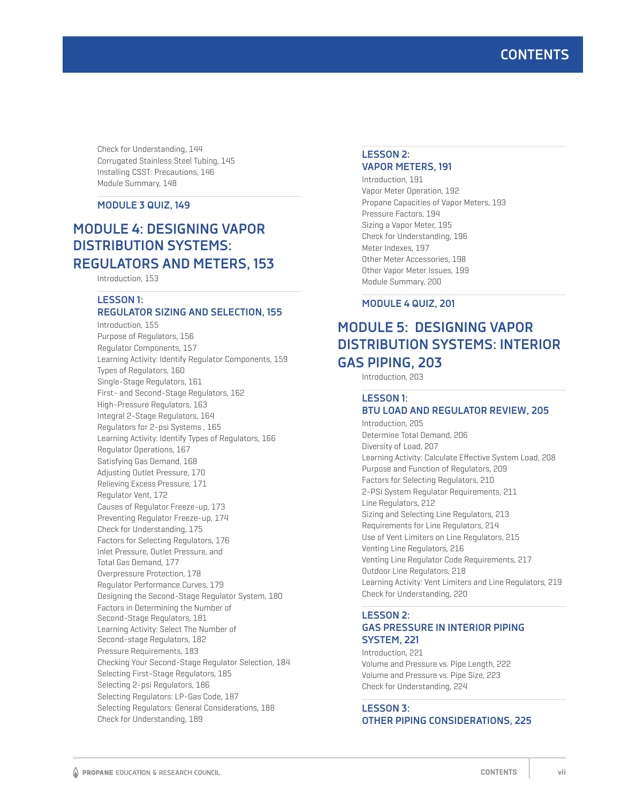# **CONTENTS**

Check for Understanding, 144 Corrugated Stainless Steel Tubing, 145 Installing CSST: Precautions, 146 Module Summary, 148

### **MODULE 3 QUIZ, 149**

# **MODULE 4: DESIGNING VAPOR DISTRIBUTION SYSTEMS: REGULATORS AND METERS, 153**

Introduction, 153

#### **LESSON 1: REGULATOR SIZING AND SELECTION, 155**

Introduction, 155 Purpose of Regulators, 156 Regulator Components, 157 Learning Activity: Identify Regulator Components, 159 Types of Regulators, 160 Single-Stage Regulators, 161 First- and Second-Stage Regulators, 162 High-Pressure Regulators, 163 Integral 2-Stage Regulators, 164 Regulators for 2-psi Systems , 165 Learning Activity: Identify Types of Regulators, 166 Regulator Operations, 167 Satisfying Gas Demand, 168 Adjusting Outlet Pressure, 170 Relieving Excess Pressure, 171 Regulator Vent, 172 Causes of Regulator Freeze-up, 173 Preventing Regulator Freeze-up, 174 Check for Understanding, 175 Factors for Selecting Regulators, 176 Inlet Pressure, Outlet Pressure, and Total Gas Demand, 177 Overpressure Protection, 178 Regulator Performance Curves, 179 Designing the Second-Stage Regulator System, 180 Factors in Determining the Number of Second-Stage Regulators, 181 Learning Activity: Select The Number of Second-stage Regulators, 182 Pressure Requirements, 183 Checking Your Second-Stage Regulator Selection, 184 Selecting First-Stage Regulators, 185 Selecting 2-psi Regulators, 186 Selecting Regulators: LP-Gas Code, 187 Selecting Regulators: General Considerations, 188 Check for Understanding, 189

#### **LESSON 2: VAPOR METERS, 191**

Introduction, 191 Vapor Meter Operation, 192 Propane Capacities of Vapor Meters, 193 Pressure Factors, 194 Sizing a Vapor Meter, 195 Check for Understanding, 196 Meter Indexes, 197 Other Meter Accessories, 198 Other Vapor Meter Issues, 199 Module Summary, 200

#### **MODULE 4 QUIZ, 201**

# **MODULE 5: DESIGNING VAPOR DISTRIBUTION SYSTEMS: INTERIOR GAS PIPING, 203**

Introduction, 203

#### **LESSON 1: BTU LOAD AND REGULATOR REVIEW, 205**

Introduction, 205 Determine Total Demand, 206 Diversity of Load, 207 Learning Activity: Calculate Effective System Load, 208 Purpose and Function of Regulators, 209 Factors for Selecting Regulators, 210 2-PSI System Regulator Requirements, 211 Line Regulators, 212 Sizing and Selecting Line Regulators, 213 Requirements for Line Regulators, 214 Use of Vent Limiters on Line Regulators, 215 Venting Line Regulators, 216 Venting Line Regulator Code Requirements, 217 Outdoor Line Regulators, 218 Learning Activity: Vent Limiters and Line Regulators, 219 Check for Understanding, 220

### **LESSON 2: GAS PRESSURE IN INTERIOR PIPING SYSTEM, 221**

Introduction, 221 Volume and Pressure vs. Pipe Length, 222 Volume and Pressure vs. Pipe Size, 223 Check for Understanding, 224

### **LESSON 3: OTHER PIPING CONSIDERATIONS, 225**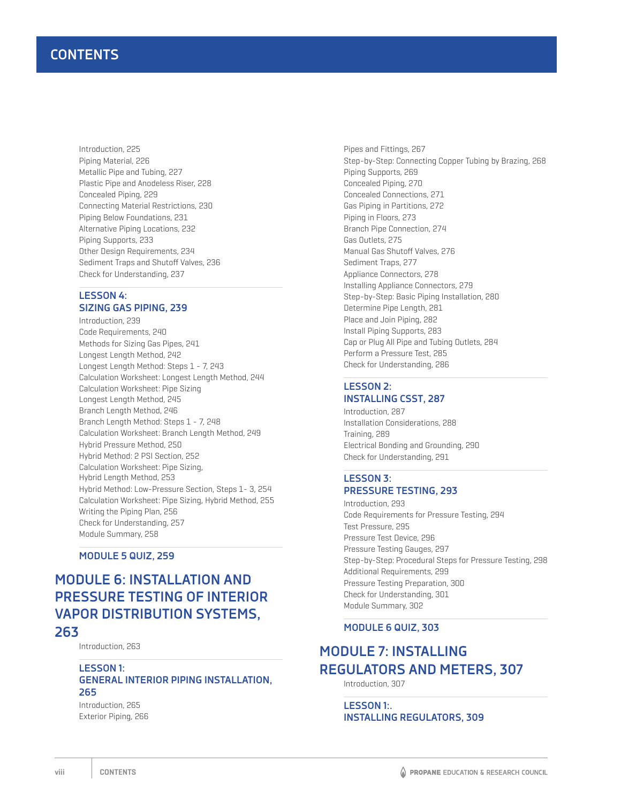Introduction, 225 Piping Material, 226 Metallic Pipe and Tubing, 227 Plastic Pipe and Anodeless Riser, 228 Concealed Piping, 229 Connecting Material Restrictions, 230 Piping Below Foundations, 231 Alternative Piping Locations, 232 Piping Supports, 233 Other Design Requirements, 234 Sediment Traps and Shutoff Valves, 236 Check for Understanding, 237

### **LESSON 4: SIZING GAS PIPING, 239**

Introduction, 239 Code Requirements, 240 Methods for Sizing Gas Pipes, 241 Longest Length Method, 242 Longest Length Method: Steps 1 - 7, 243 Calculation Worksheet: Longest Length Method, 244 Calculation Worksheet: Pipe Sizing Longest Length Method, 245 Branch Length Method, 246 Branch Length Method: Steps 1 - 7, 248 Calculation Worksheet: Branch Length Method, 249 Hybrid Pressure Method, 250 Hybrid Method: 2 PSI Section, 252 Calculation Worksheet: Pipe Sizing, Hybrid Length Method, 253 Hybrid Method: Low-Pressure Section, Steps 1- 3, 254 Calculation Worksheet: Pipe Sizing, Hybrid Method, 255 Writing the Piping Plan, 256 Check for Understanding, 257 Module Summary, 258

**MODULE 5 QUIZ, 259**

# **MODULE 6: INSTALLATION AND PRESSURE TESTING OF INTERIOR VAPOR DISTRIBUTION SYSTEMS, 263**

Introduction, 263

### **LESSON 1: GENERAL INTERIOR PIPING INSTALLATION, 265**

Introduction, 265 Exterior Piping, 266

Pipes and Fittings, 267 Step-by-Step: Connecting Copper Tubing by Brazing, 268 Piping Supports, 269 Concealed Piping, 270 Concealed Connections, 271 Gas Piping in Partitions, 272 Piping in Floors, 273 Branch Pipe Connection, 274 Gas Outlets, 275 Manual Gas Shutoff Valves, 276 Sediment Traps, 277 Appliance Connectors, 278 Installing Appliance Connectors, 279 Step-by-Step: Basic Piping Installation, 280 Determine Pipe Length, 281 Place and Join Piping, 282 Install Piping Supports, 283 Cap or Plug All Pipe and Tubing Outlets, 284 Perform a Pressure Test, 285 Check for Understanding, 286

### **LESSON 2: INSTALLING CSST, 287**

Introduction, 287 Installation Considerations, 288 Training, 289 Electrical Bonding and Grounding, 290 Check for Understanding, 291

### **LESSON 3: PRESSURE TESTING, 293**

Introduction, 293 Code Requirements for Pressure Testing, 294 Test Pressure, 295 Pressure Test Device, 296 Pressure Testing Gauges, 297 Step-by-Step: Procedural Steps for Pressure Testing, 298 Additional Requirements, 299 Pressure Testing Preparation, 300 Check for Understanding, 301 Module Summary, 302

#### **MODULE 6 QUIZ, 303**

# **MODULE 7: INSTALLING REGULATORS AND METERS, 307**

Introduction, 307

**LESSON 1:. INSTALLING REGULATORS, 309**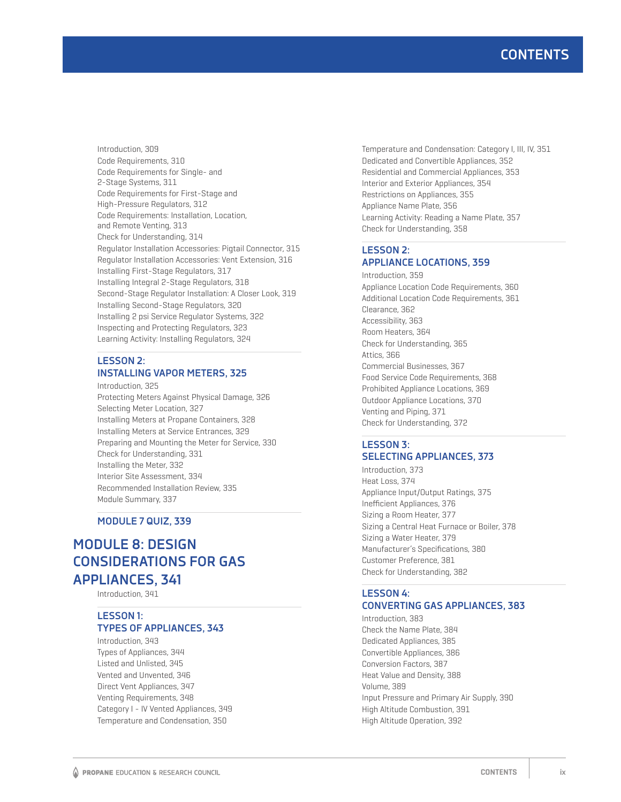Introduction, 309 Code Requirements, 310 Code Requirements for Single- and 2-Stage Systems, 311 Code Requirements for First-Stage and High-Pressure Regulators, 312 Code Requirements: Installation, Location, and Remote Venting, 313 Check for Understanding, 314 Regulator Installation Accessories: Pigtail Connector, 315 Regulator Installation Accessories: Vent Extension, 316 Installing First-Stage Regulators, 317 Installing Integral 2-Stage Regulators, 318 Second-Stage Regulator Installation: A Closer Look, 319 Installing Second-Stage Regulators, 320 Installing 2 psi Service Regulator Systems, 322 Inspecting and Protecting Regulators, 323 Learning Activity: Installing Regulators, 324

### **LESSON 2: INSTALLING VAPOR METERS, 325**

Introduction, 325 Protecting Meters Against Physical Damage, 326 Selecting Meter Location, 327 Installing Meters at Propane Containers, 328 Installing Meters at Service Entrances, 329 Preparing and Mounting the Meter for Service, 330 Check for Understanding, 331 Installing the Meter, 332 Interior Site Assessment, 334 Recommended Installation Review, 335 Module Summary, 337

**MODULE 7 QUIZ, 339**

# **MODULE 8: DESIGN CONSIDERATIONS FOR GAS APPLIANCES, 341**

Introduction, 341

### **LESSON 1: TYPES OF APPLIANCES, 343**

Introduction, 343 Types of Appliances, 344 Listed and Unlisted, 345 Vented and Unvented, 346 Direct Vent Appliances, 347 Venting Requirements, 348 Category I - IV Vented Appliances, 349 Temperature and Condensation, 350

Temperature and Condensation: Category I, III, IV, 351 Dedicated and Convertible Appliances, 352 Residential and Commercial Appliances, 353 Interior and Exterior Appliances, 354 Restrictions on Appliances, 355 Appliance Name Plate, 356 Learning Activity: Reading a Name Plate, 357 Check for Understanding, 358

### **LESSON 2: APPLIANCE LOCATIONS, 359**

Introduction, 359 Appliance Location Code Requirements, 360 Additional Location Code Requirements, 361 Clearance, 362 Accessibility, 363 Room Heaters, 364 Check for Understanding, 365 Attics, 366 Commercial Businesses, 367 Food Service Code Requirements, 368 Prohibited Appliance Locations, 369 Outdoor Appliance Locations, 370 Venting and Piping, 371 Check for Understanding, 372

### **LESSON 3: SELECTING APPLIANCES, 373**

Introduction, 373 Heat Loss, 374 Appliance Input/Output Ratings, 375 Inefficient Appliances, 376 Sizing a Room Heater, 377 Sizing a Central Heat Furnace or Boiler, 378 Sizing a Water Heater, 379 Manufacturer's Specifications, 380 Customer Preference, 381 Check for Understanding, 382

# **LESSON 4:**

### **CONVERTING GAS APPLIANCES, 383**

Introduction, 383 Check the Name Plate, 384 Dedicated Appliances, 385 Convertible Appliances, 386 Conversion Factors, 387 Heat Value and Density, 388 Volume, 389 Input Pressure and Primary Air Supply, 390 High Altitude Combustion, 391 High Altitude Operation, 392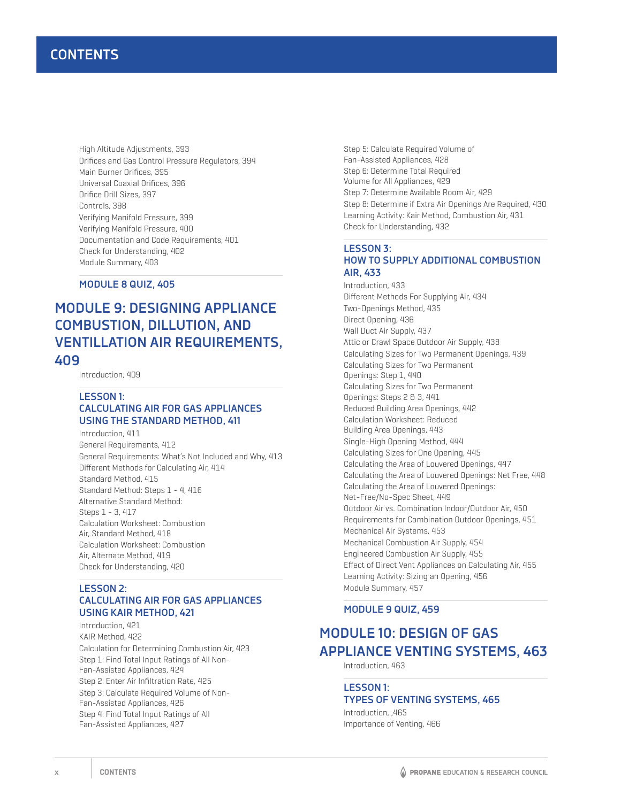High Altitude Adjustments, 393 Orifices and Gas Control Pressure Regulators, 394 Main Burner Orifices, 395 Universal Coaxial Orifices, 396 Orifice Drill Sizes, 397 Controls, 398 Verifying Manifold Pressure, 399 Verifying Manifold Pressure, 400 Documentation and Code Requirements, 401 Check for Understanding, 402 Module Summary, 403

**MODULE 8 QUIZ, 405**

# **MODULE 9: DESIGNING APPLIANCE COMBUSTION, DILLUTION, AND VENTILLATION AIR REQUIREMENTS, 409**

Introduction, 409

### **LESSON 1: CALCULATING AIR FOR GAS APPLIANCES USING THE STANDARD METHOD, 411**

Introduction, 411 General Requirements, 412 General Requirements: What's Not Included and Why, 413 Different Methods for Calculating Air, 414 Standard Method, 415 Standard Method: Steps 1 - 4, 416 Alternative Standard Method: Steps 1 - 3, 417 Calculation Worksheet: Combustion Air, Standard Method, 418 Calculation Worksheet: Combustion Air, Alternate Method, 419 Check for Understanding, 420

#### **LESSON 2: CALCULATING AIR FOR GAS APPLIANCES USING KAIR METHOD, 421**

Introduction, 421 KAIR Method, 422 Calculation for Determining Combustion Air, 423 Step 1: Find Total Input Ratings of All Non-Fan-Assisted Appliances, 424 Step 2: Enter Air Infiltration Rate, 425 Step 3: Calculate Required Volume of Non-Fan-Assisted Appliances, 426 Step 4: Find Total Input Ratings of All Fan-Assisted Appliances, 427

Step 5: Calculate Required Volume of Fan-Assisted Appliances, 428 Step 6: Determine Total Required Volume for All Appliances, 429 Step 7: Determine Available Room Air, 429 Step 8: Determine if Extra Air Openings Are Required, 430 Learning Activity: Kair Method, Combustion Air, 431 Check for Understanding, 432

### **LESSON 3: HOW TO SUPPLY ADDITIONAL COMBUSTION AIR, 433**

Introduction, 433 Different Methods For Supplying Air, 434 Two-Openings Method, 435 Direct Opening, 436 Wall Duct Air Supply, 437 Attic or Crawl Space Outdoor Air Supply, 438 Calculating Sizes for Two Permanent Openings, 439 Calculating Sizes for Two Permanent Openings: Step 1, 440 Calculating Sizes for Two Permanent Openings: Steps 2 & 3, 441 Reduced Building Area Openings, 442 Calculation Worksheet: Reduced Building Area Openings, 443 Single-High Opening Method, 444 Calculating Sizes for One Opening, 445 Calculating the Area of Louvered Openings, 447 Calculating the Area of Louvered Openings: Net Free, 448 Calculating the Area of Louvered Openings: Net-Free/No-Spec Sheet, 449 Outdoor Air vs. Combination Indoor/Outdoor Air, 450 Requirements for Combination Outdoor Openings, 451 Mechanical Air Systems, 453 Mechanical Combustion Air Supply, 454 Engineered Combustion Air Supply, 455 Effect of Direct Vent Appliances on Calculating Air, 455 Learning Activity: Sizing an Opening, 456 Module Summary, 457

### **MODULE 9 QUIZ, 459**

# **MODULE 10: DESIGN OF GAS APPLIANCE VENTING SYSTEMS, 463**

Introduction, 463

### **LESSON 1: TYPES OF VENTING SYSTEMS, 465**

Introduction, ,465 Importance of Venting, 466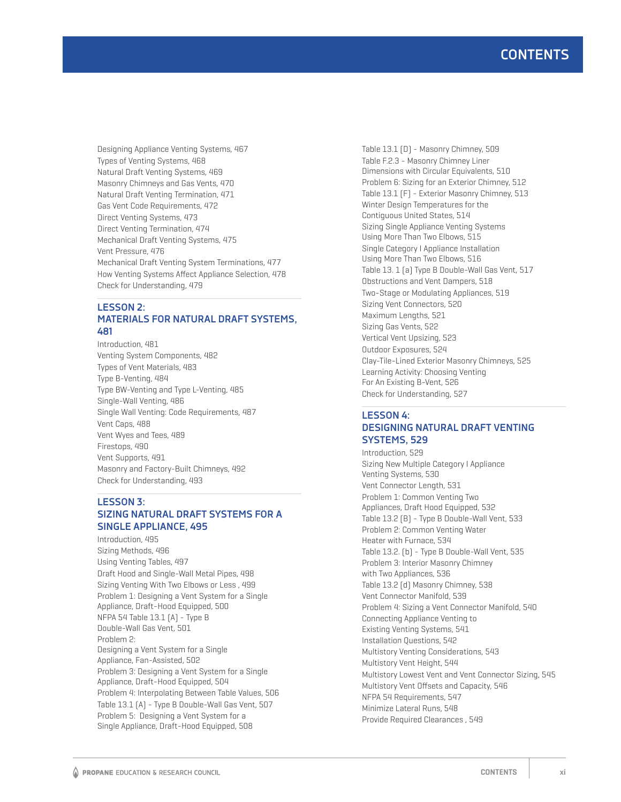Designing Appliance Venting Systems, 467 Types of Venting Systems, 468 Natural Draft Venting Systems, 469 Masonry Chimneys and Gas Vents, 470 Natural Draft Venting Termination, 471 Gas Vent Code Requirements, 472 Direct Venting Systems, 473 Direct Venting Termination, 474 Mechanical Draft Venting Systems, 475 Vent Pressure, 476 Mechanical Draft Venting System Terminations, 477 How Venting Systems Affect Appliance Selection, 478 Check for Understanding, 479

### **LESSON 2: MATERIALS FOR NATURAL DRAFT SYSTEMS, 481**

Introduction, 481 Venting System Components, 482 Types of Vent Materials, 483 Type B-Venting, 484 Type BW-Venting and Type L-Venting, 485 Single-Wall Venting, 486 Single Wall Venting: Code Requirements, 487 Vent Caps, 488 Vent Wyes and Tees, 489 Firestops, 490 Vent Supports, 491 Masonry and Factory-Built Chimneys, 492 Check for Understanding, 493

### **LESSON 3: SIZING NATURAL DRAFT SYSTEMS FOR A SINGLE APPLIANCE, 495**

Introduction, 495 Sizing Methods, 496 Using Venting Tables, 497 Draft Hood and Single-Wall Metal Pipes, 498 Sizing Venting With Two Elbows or Less , 499 Problem 1: Designing a Vent System for a Single Appliance, Draft-Hood Equipped, 500 NFPA 54 Table 13.1 (A) - Type B Double-Wall Gas Vent, 501 Problem 2: Designing a Vent System for a Single Appliance, Fan-Assisted, 502 Problem 3: Designing a Vent System for a Single Appliance, Draft-Hood Equipped, 504 Problem 4: Interpolating Between Table Values, 506 Table 13.1 (A) - Type B Double-Wall Gas Vent, 507 Problem 5: Designing a Vent System for a Single Appliance, Draft-Hood Equipped, 508

Table 13.1 (D) - Masonry Chimney, 509 Table F.2.3 - Masonry Chimney Liner Dimensions with Circular Equivalents, 510 Problem 6: Sizing for an Exterior Chimney, 512 Table 13.1 (F) - Exterior Masonry Chimney, 513 Winter Design Temperatures for the Contiguous United States, 514 Sizing Single Appliance Venting Systems Using More Than Two Elbows, 515 Single Category I Appliance Installation Using More Than Two Elbows, 516 Table 13. 1 (a) Type B Double-Wall Gas Vent, 517 Obstructions and Vent Dampers, 518 Two-Stage or Modulating Appliances, 519 Sizing Vent Connectors, 520 Maximum Lengths, 521 Sizing Gas Vents, 522 Vertical Vent Upsizing, 523 Outdoor Exposures, 524 Clay-Tile-Lined Exterior Masonry Chimneys, 525 Learning Activity: Choosing Venting For An Existing B-Vent, 526 Check for Understanding, 527

### **LESSON 4: DESIGNING NATURAL DRAFT VENTING SYSTEMS, 529**

Introduction, 529 Sizing New Multiple Category I Appliance Venting Systems, 530 Vent Connector Length, 531 Problem 1: Common Venting Two Appliances, Draft Hood Equipped, 532 Table 13.2 (B) - Type B Double-Wall Vent, 533 Problem 2: Common Venting Water Heater with Furnace, 534 Table 13.2. (b) - Type B Double-Wall Vent, 535 Problem 3: Interior Masonry Chimney with Two Appliances, 536 Table 13.2 (d) Masonry Chimney, 538 Vent Connector Manifold, 539 Problem 4: Sizing a Vent Connector Manifold, 540 Connecting Appliance Venting to Existing Venting Systems, 541 Installation Questions, 542 Multistory Venting Considerations, 543 Multistory Vent Height, 544 Multistory Lowest Vent and Vent Connector Sizing, 545 Multistory Vent Offsets and Capacity, 546 NFPA 54 Requirements, 547 Minimize Lateral Runs, 548 Provide Required Clearances , 549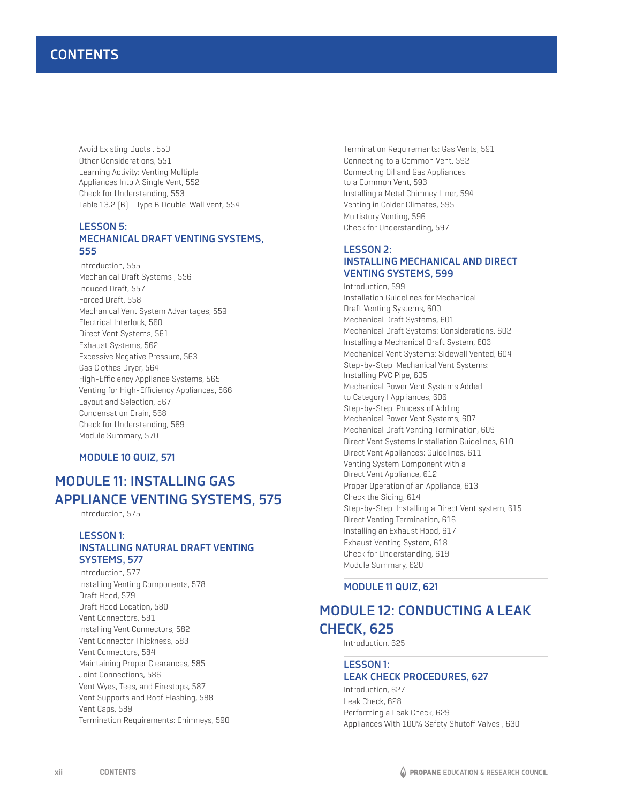Avoid Existing Ducts , 550 Other Considerations, 551 Learning Activity: Venting Multiple Appliances Into A Single Vent, 552 Check for Understanding, 553 Table 13.2 (B) - Type B Double-Wall Vent, 554

#### **LESSON 5: MECHANICAL DRAFT VENTING SYSTEMS, 555**

Introduction, 555 Mechanical Draft Systems , 556 Induced Draft, 557 Forced Draft, 558 Mechanical Vent System Advantages, 559 Electrical Interlock, 560 Direct Vent Systems, 561 Exhaust Systems, 562 Excessive Negative Pressure, 563 Gas Clothes Dryer, 564 High-Efficiency Appliance Systems, 565 Venting for High-Efficiency Appliances, 566 Layout and Selection, 567 Condensation Drain, 568 Check for Understanding, 569 Module Summary, 570

#### **MODULE 10 QUIZ, 571**

# **MODULE 11: INSTALLING GAS APPLIANCE VENTING SYSTEMS, 575**

Introduction, 575

#### **LESSON 1: INSTALLING NATURAL DRAFT VENTING SYSTEMS, 577**

Introduction, 577 Installing Venting Components, 578 Draft Hood, 579 Draft Hood Location, 580 Vent Connectors, 581 Installing Vent Connectors, 582 Vent Connector Thickness, 583 Vent Connectors, 584 Maintaining Proper Clearances, 585 Joint Connections, 586 Vent Wyes, Tees, and Firestops, 587 Vent Supports and Roof Flashing, 588 Vent Caps, 589 Termination Requirements: Chimneys, 590 Termination Requirements: Gas Vents, 591 Connecting to a Common Vent, 592 Connecting Oil and Gas Appliances to a Common Vent, 593 Installing a Metal Chimney Liner, 594 Venting in Colder Climates, 595 Multistory Venting, 596 Check for Understanding, 597

### **LESSON 2: INSTALLING MECHANICAL AND DIRECT VENTING SYSTEMS, 599**

Introduction, 599 Installation Guidelines for Mechanical Draft Venting Systems, 600 Mechanical Draft Systems, 601 Mechanical Draft Systems: Considerations, 602 Installing a Mechanical Draft System, 603 Mechanical Vent Systems: Sidewall Vented, 604 Step-by-Step: Mechanical Vent Systems: Installing PVC Pipe, 605 Mechanical Power Vent Systems Added to Category I Appliances, 606 Step-by-Step: Process of Adding Mechanical Power Vent Systems, 607 Mechanical Draft Venting Termination, 609 Direct Vent Systems Installation Guidelines, 610 Direct Vent Appliances: Guidelines, 611 Venting System Component with a Direct Vent Appliance, 612 Proper Operation of an Appliance, 613 Check the Siding, 614 Step-by-Step: Installing a Direct Vent system, 615 Direct Venting Termination, 616 Installing an Exhaust Hood, 617 Exhaust Venting System, 618 Check for Understanding, 619 Module Summary, 620

#### **MODULE 11 QUIZ, 621**

# **MODULE 12: CONDUCTING A LEAK CHECK, 625**

Introduction, 625

#### **LESSON 1: LEAK CHECK PROCEDURES, 627**

Introduction, 627 Leak Check, 628 Performing a Leak Check, 629 Appliances With 100% Safety Shutoff Valves , 630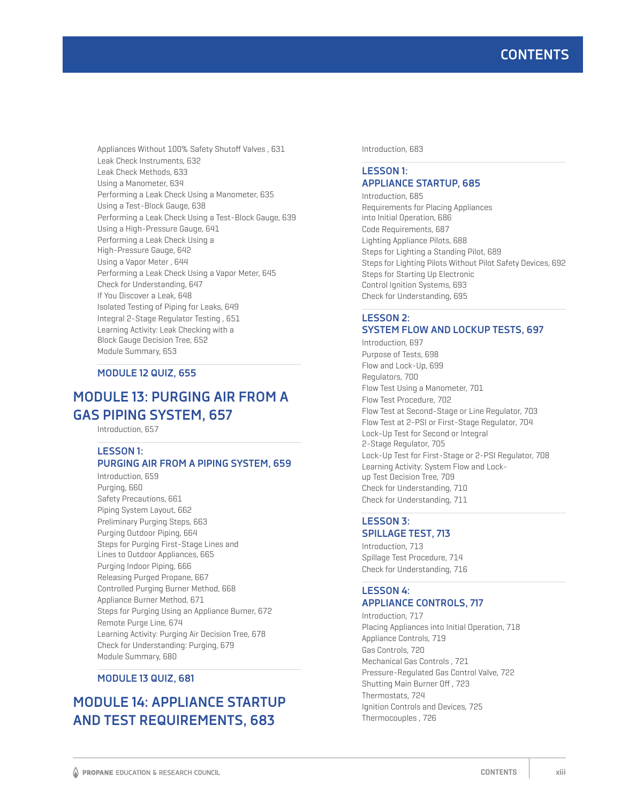Appliances Without 100% Safety Shutoff Valves , 631 Leak Check Instruments, 632 Leak Check Methods, 633 Using a Manometer, 634 Performing a Leak Check Using a Manometer, 635 Using a Test-Block Gauge, 638 Performing a Leak Check Using a Test-Block Gauge, 639 Using a High-Pressure Gauge, 641 Performing a Leak Check Using a High-Pressure Gauge, 642 Using a Vapor Meter , 644 Performing a Leak Check Using a Vapor Meter, 645 Check for Understanding, 647 If You Discover a Leak, 648 Isolated Testing of Piping for Leaks, 649 Integral 2-Stage Regulator Testing , 651 Learning Activity: Leak Checking with a Block Gauge Decision Tree, 652 Module Summary, 653

### **MODULE 12 QUIZ, 655**

# **MODULE 13: PURGING AIR FROM A GAS PIPING SYSTEM, 657**

Introduction, 657

### **LESSON 1:**

#### **PURGING AIR FROM A PIPING SYSTEM, 659** Introduction, 659

Purging, 660 Safety Precautions, 661 Piping System Layout, 662 Preliminary Purging Steps, 663 Purging Outdoor Piping, 664 Steps for Purging First-Stage Lines and Lines to Outdoor Appliances, 665 Purging Indoor Piping, 666 Releasing Purged Propane, 667 Controlled Purging Burner Method, 668 Appliance Burner Method, 671 Steps for Purging Using an Appliance Burner, 672 Remote Purge Line, 674 Learning Activity: Purging Air Decision Tree, 678 Check for Understanding: Purging, 679 Module Summary, 680

#### **MODULE 13 QUIZ, 681**

# **MODULE 14: APPLIANCE STARTUP AND TEST REQUIREMENTS, 683**

Introduction, 683

### **LESSON 1: APPLIANCE STARTUP, 685**

Introduction, 685 Requirements for Placing Appliances into Initial Operation, 686 Code Requirements, 687 Lighting Appliance Pilots, 688 Steps for Lighting a Standing Pilot, 689 Steps for Lighting Pilots Without Pilot Safety Devices, 692 Steps for Starting Up Electronic Control Ignition Systems, 693 Check for Understanding, 695

### **LESSON 2: SYSTEM FLOW AND LOCKUP TESTS, 697**

Introduction, 697 Purpose of Tests, 698 Flow and Lock-Up, 699 Regulators, 700 Flow Test Using a Manometer, 701 Flow Test Procedure, 702 Flow Test at Second-Stage or Line Regulator, 703 Flow Test at 2-PSI or First-Stage Regulator, 704 Lock-Up Test for Second or Integral 2-Stage Regulator, 705 Lock-Up Test for First-Stage or 2-PSI Regulator, 708 Learning Activity: System Flow and Lockup Test Decision Tree, 709 Check for Understanding, 710 Check for Understanding, 711

#### **LESSON 3: SPILLAGE TEST, 713**

Introduction, 713 Spillage Test Procedure, 714 Check for Understanding, 716

### **LESSON 4: APPLIANCE CONTROLS, 717**

Introduction, 717 Placing Appliances into Initial Operation, 718 Appliance Controls, 719 Gas Controls, 720 Mechanical Gas Controls , 721 Pressure-Regulated Gas Control Valve, 722 Shutting Main Burner Off , 723 Thermostats, 724 Ignition Controls and Devices, 725 Thermocouples , 726